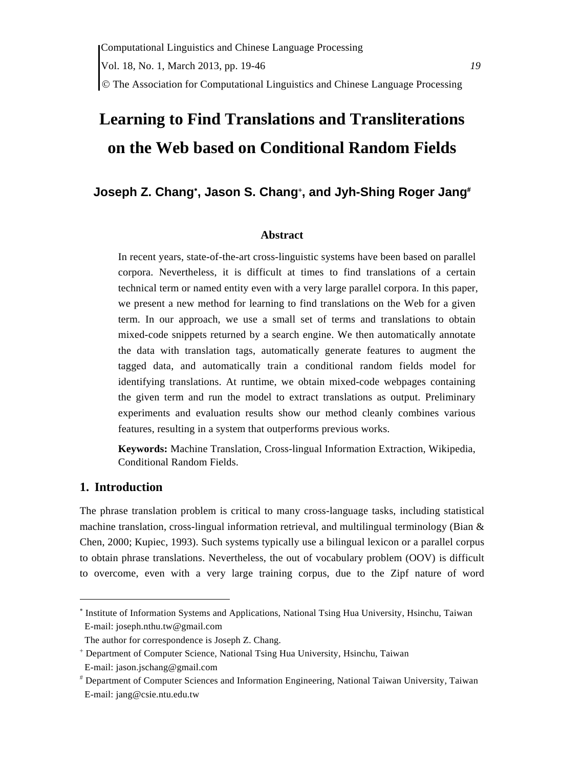# **Learning to Find Translations and Transliterations on the Web based on Conditional Random Fields**

# **Joseph Z. Chang**<sup>∗</sup> **, Jason S. Chang**<sup>+</sup> **, and Jyh-Shing Roger Jang**#

#### **Abstract**

In recent years, state-of-the-art cross-linguistic systems have been based on parallel corpora. Nevertheless, it is difficult at times to find translations of a certain technical term or named entity even with a very large parallel corpora. In this paper, we present a new method for learning to find translations on the Web for a given term. In our approach, we use a small set of terms and translations to obtain mixed-code snippets returned by a search engine. We then automatically annotate the data with translation tags, automatically generate features to augment the tagged data, and automatically train a conditional random fields model for identifying translations. At runtime, we obtain mixed-code webpages containing the given term and run the model to extract translations as output. Preliminary experiments and evaluation results show our method cleanly combines various features, resulting in a system that outperforms previous works.

**Keywords:** Machine Translation, Cross-lingual Information Extraction, Wikipedia, Conditional Random Fields.

#### **1. Introduction**

The phrase translation problem is critical to many cross-language tasks, including statistical machine translation, cross-lingual information retrieval, and multilingual terminology (Bian  $\&$ Chen, 2000; Kupiec, 1993). Such systems typically use a bilingual lexicon or a parallel corpus to obtain phrase translations. Nevertheless, the out of vocabulary problem (OOV) is difficult to overcome, even with a very large training corpus, due to the Zipf nature of word

<sup>∗</sup> Institute of Information Systems and Applications, National Tsing Hua University, Hsinchu, Taiwan E-mail: joseph.nthu.tw@gmail.com

The author for correspondence is Joseph Z. Chang.

<sup>+</sup> Department of Computer Science, National Tsing Hua University, Hsinchu, Taiwan

E-mail: jason.jschang@gmail.com

<sup>#</sup> Department of Computer Sciences and Information Engineering, National Taiwan University, Taiwan E-mail: jang@csie.ntu.edu.tw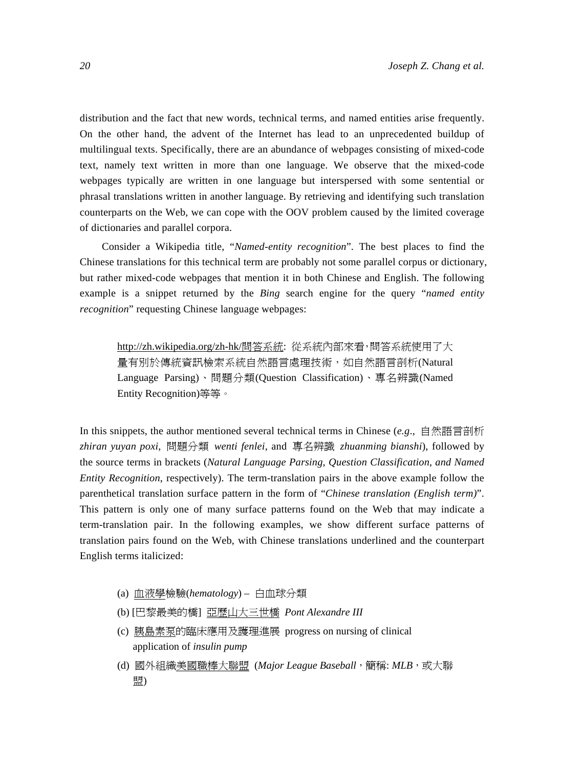distribution and the fact that new words, technical terms, and named entities arise frequently. On the other hand, the advent of the Internet has lead to an unprecedented buildup of multilingual texts. Specifically, there are an abundance of webpages consisting of mixed-code text, namely text written in more than one language. We observe that the mixed-code webpages typically are written in one language but interspersed with some sentential or phrasal translations written in another language. By retrieving and identifying such translation counterparts on the Web, we can cope with the OOV problem caused by the limited coverage of dictionaries and parallel corpora.

Consider a Wikipedia title, "*Named-entity recognition*". The best places to find the Chinese translations for this technical term are probably not some parallel corpus or dictionary, but rather mixed-code webpages that mention it in both Chinese and English. The following example is a snippet returned by the *Bing* search engine for the query "*named entity recognition*" requesting Chinese language webpages:

http://zh.wikipedia.org/zh-hk/問答系統: 從系統內部來看,問答系統使用了大 量有別於傳統資訊檢索系統自然語言處理技術,如自然語言剖析(Natural Language Parsing)、問題分類(Question Classification)、專名辨識(Named Entity Recognition)等等。

In this snippets, the author mentioned several technical terms in Chinese (*e.g*., 自然語言剖析 *zhiran yuyan poxi*, 問題分類 *wenti fenlei*, and 專名辨識 *zhuanming bianshi*), followed by the source terms in brackets (*Natural Language Parsing*, *Question Classification*, *and Named Entity Recognition*, respectively). The term-translation pairs in the above example follow the parenthetical translation surface pattern in the form of "*Chinese translation (English term)*". This pattern is only one of many surface patterns found on the Web that may indicate a term-translation pair. In the following examples, we show different surface patterns of translation pairs found on the Web, with Chinese translations underlined and the counterpart English terms italicized:

- (a) 血液學檢驗(*hematology*) 白血球分類
- (b) [巴黎最美的橋] 亞歷山大三世橋 *Pont Alexandre III*
- (c) 胰島素泵的臨床應用及護理進展 progress on nursing of clinical application of *insulin pump*
- (d) 國外組織美國職棒大聯盟 (Major League Baseball,簡稱: MLB,或大聯 盟)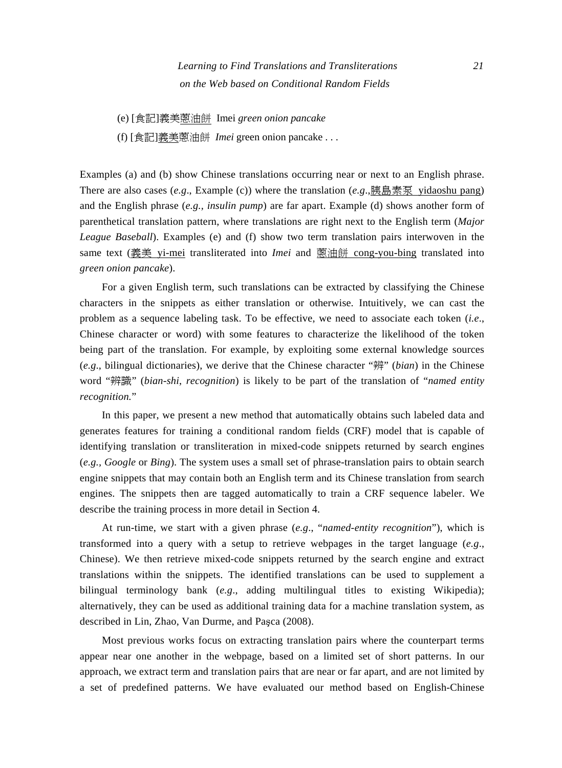# *Learning to Find Translations and Transliterations 21 on the Web based on Conditional Random Fields*

- (e) [食記]義美蔥油餅 Imei *green onion pancake*
- (f) [食記]義美蔥油餅 *Imei* green onion pancake . . .

Examples (a) and (b) show Chinese translations occurring near or next to an English phrase. There are also cases (*e.g*., Example (c)) where the translation (*e.g*.,胰島素泵 yidaoshu pang) and the English phrase (*e.g., insulin pump*) are far apart. Example (d) shows another form of parenthetical translation pattern, where translations are right next to the English term (*Major League Baseball*). Examples (e) and (f) show two term translation pairs interwoven in the same text (義美 yi-mei transliterated into *Imei* and <u>蒽油餅 cong-you-bing</u> translated into *green onion pancake*).

For a given English term, such translations can be extracted by classifying the Chinese characters in the snippets as either translation or otherwise. Intuitively, we can cast the problem as a sequence labeling task. To be effective, we need to associate each token (*i.e*., Chinese character or word) with some features to characterize the likelihood of the token being part of the translation. For example, by exploiting some external knowledge sources (*e.g*., bilingual dictionaries), we derive that the Chinese character "辨" (*bian*) in the Chinese word "辨識" (*bian-shi*, *recognition*) is likely to be part of the translation of "*named entity recognition.*"

In this paper, we present a new method that automatically obtains such labeled data and generates features for training a conditional random fields (CRF) model that is capable of identifying translation or transliteration in mixed-code snippets returned by search engines (*e.g., Google* or *Bing*). The system uses a small set of phrase-translation pairs to obtain search engine snippets that may contain both an English term and its Chinese translation from search engines. The snippets then are tagged automatically to train a CRF sequence labeler. We describe the training process in more detail in Section 4.

At run-time, we start with a given phrase (*e.g*., "*named-entity recognition*"), which is transformed into a query with a setup to retrieve webpages in the target language (*e.g*., Chinese). We then retrieve mixed-code snippets returned by the search engine and extract translations within the snippets. The identified translations can be used to supplement a bilingual terminology bank (*e.g*., adding multilingual titles to existing Wikipedia); alternatively, they can be used as additional training data for a machine translation system, as described in Lin, Zhao, Van Durme, and Paşca (2008).

Most previous works focus on extracting translation pairs where the counterpart terms appear near one another in the webpage, based on a limited set of short patterns. In our approach, we extract term and translation pairs that are near or far apart, and are not limited by a set of predefined patterns. We have evaluated our method based on English-Chinese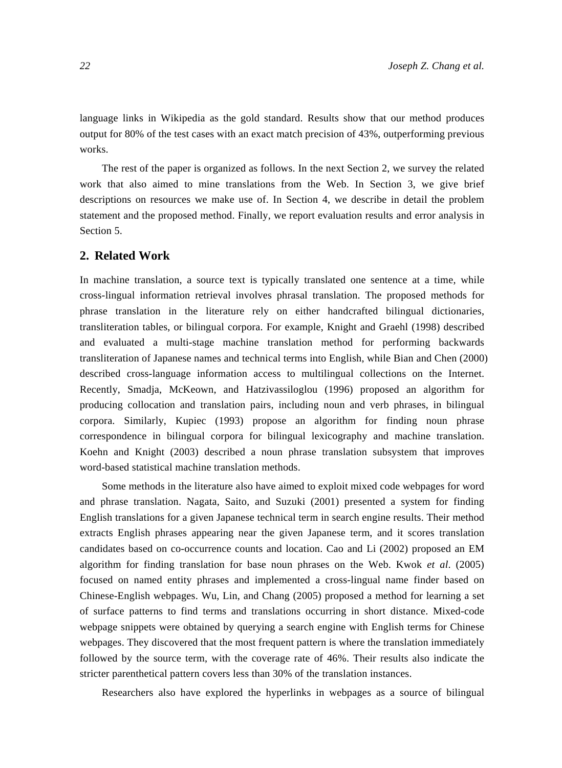language links in Wikipedia as the gold standard. Results show that our method produces output for 80% of the test cases with an exact match precision of 43%, outperforming previous works.

The rest of the paper is organized as follows. In the next Section 2, we survey the related work that also aimed to mine translations from the Web. In Section 3, we give brief descriptions on resources we make use of. In Section 4, we describe in detail the problem statement and the proposed method. Finally, we report evaluation results and error analysis in Section 5.

#### **2. Related Work**

In machine translation, a source text is typically translated one sentence at a time, while cross-lingual information retrieval involves phrasal translation. The proposed methods for phrase translation in the literature rely on either handcrafted bilingual dictionaries, transliteration tables, or bilingual corpora. For example, Knight and Graehl (1998) described and evaluated a multi-stage machine translation method for performing backwards transliteration of Japanese names and technical terms into English, while Bian and Chen (2000) described cross-language information access to multilingual collections on the Internet. Recently, Smadja, McKeown, and Hatzivassiloglou (1996) proposed an algorithm for producing collocation and translation pairs, including noun and verb phrases, in bilingual corpora. Similarly, Kupiec (1993) propose an algorithm for finding noun phrase correspondence in bilingual corpora for bilingual lexicography and machine translation. Koehn and Knight (2003) described a noun phrase translation subsystem that improves word-based statistical machine translation methods.

Some methods in the literature also have aimed to exploit mixed code webpages for word and phrase translation. Nagata, Saito, and Suzuki (2001) presented a system for finding English translations for a given Japanese technical term in search engine results. Their method extracts English phrases appearing near the given Japanese term, and it scores translation candidates based on co-occurrence counts and location. Cao and Li (2002) proposed an EM algorithm for finding translation for base noun phrases on the Web. Kwok *et al*. (2005) focused on named entity phrases and implemented a cross-lingual name finder based on Chinese-English webpages. Wu, Lin, and Chang (2005) proposed a method for learning a set of surface patterns to find terms and translations occurring in short distance. Mixed-code webpage snippets were obtained by querying a search engine with English terms for Chinese webpages. They discovered that the most frequent pattern is where the translation immediately followed by the source term, with the coverage rate of 46%. Their results also indicate the stricter parenthetical pattern covers less than 30% of the translation instances.

Researchers also have explored the hyperlinks in webpages as a source of bilingual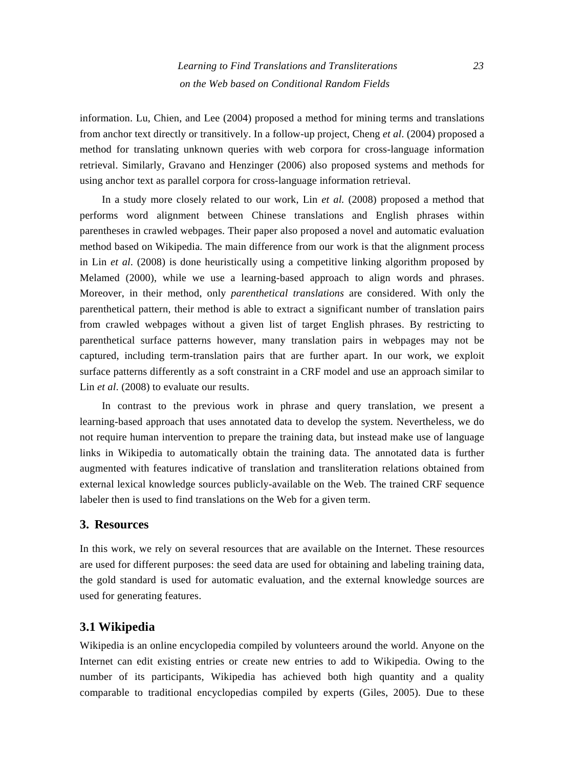information. Lu, Chien, and Lee (2004) proposed a method for mining terms and translations from anchor text directly or transitively. In a follow-up project, Cheng *et al*. (2004) proposed a method for translating unknown queries with web corpora for cross-language information retrieval. Similarly, Gravano and Henzinger (2006) also proposed systems and methods for using anchor text as parallel corpora for cross-language information retrieval.

In a study more closely related to our work, Lin *et al.* (2008) proposed a method that performs word alignment between Chinese translations and English phrases within parentheses in crawled webpages. Their paper also proposed a novel and automatic evaluation method based on Wikipedia. The main difference from our work is that the alignment process in Lin *et al*. (2008) is done heuristically using a competitive linking algorithm proposed by Melamed (2000), while we use a learning-based approach to align words and phrases. Moreover, in their method, only *parenthetical translations* are considered. With only the parenthetical pattern, their method is able to extract a significant number of translation pairs from crawled webpages without a given list of target English phrases. By restricting to parenthetical surface patterns however, many translation pairs in webpages may not be captured, including term-translation pairs that are further apart. In our work, we exploit surface patterns differently as a soft constraint in a CRF model and use an approach similar to Lin *et al.* (2008) to evaluate our results.

In contrast to the previous work in phrase and query translation, we present a learning-based approach that uses annotated data to develop the system. Nevertheless, we do not require human intervention to prepare the training data, but instead make use of language links in Wikipedia to automatically obtain the training data. The annotated data is further augmented with features indicative of translation and transliteration relations obtained from external lexical knowledge sources publicly-available on the Web. The trained CRF sequence labeler then is used to find translations on the Web for a given term.

#### **3. Resources**

In this work, we rely on several resources that are available on the Internet. These resources are used for different purposes: the seed data are used for obtaining and labeling training data, the gold standard is used for automatic evaluation, and the external knowledge sources are used for generating features.

### **3.1 Wikipedia**

Wikipedia is an online encyclopedia compiled by volunteers around the world. Anyone on the Internet can edit existing entries or create new entries to add to Wikipedia. Owing to the number of its participants, Wikipedia has achieved both high quantity and a quality comparable to traditional encyclopedias compiled by experts (Giles, 2005). Due to these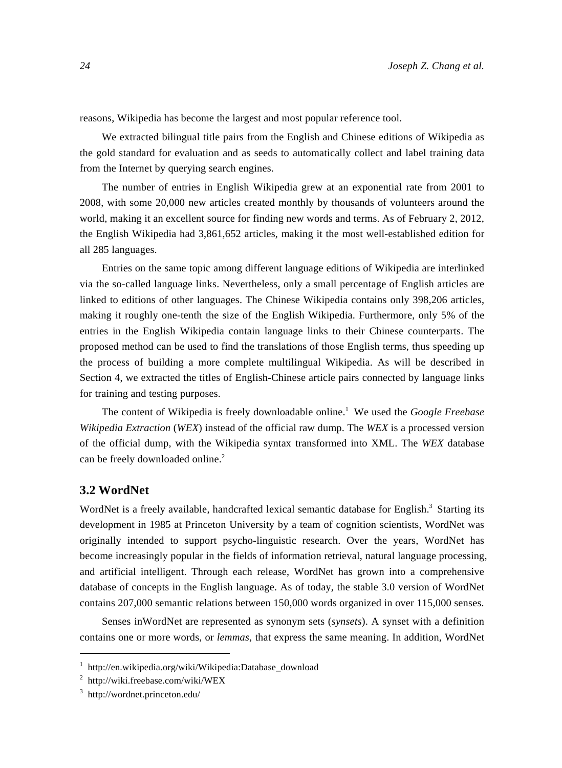reasons, Wikipedia has become the largest and most popular reference tool.

We extracted bilingual title pairs from the English and Chinese editions of Wikipedia as the gold standard for evaluation and as seeds to automatically collect and label training data from the Internet by querying search engines.

The number of entries in English Wikipedia grew at an exponential rate from 2001 to 2008, with some 20,000 new articles created monthly by thousands of volunteers around the world, making it an excellent source for finding new words and terms. As of February 2, 2012, the English Wikipedia had 3,861,652 articles, making it the most well-established edition for all 285 languages.

Entries on the same topic among different language editions of Wikipedia are interlinked via the so-called language links. Nevertheless, only a small percentage of English articles are linked to editions of other languages. The Chinese Wikipedia contains only 398,206 articles, making it roughly one-tenth the size of the English Wikipedia. Furthermore, only 5% of the entries in the English Wikipedia contain language links to their Chinese counterparts. The proposed method can be used to find the translations of those English terms, thus speeding up the process of building a more complete multilingual Wikipedia. As will be described in Section 4, we extracted the titles of English-Chinese article pairs connected by language links for training and testing purposes.

The content of Wikipedia is freely downloadable online.<sup>1</sup> We used the *Google Freebase Wikipedia Extraction* (*WEX*) instead of the official raw dump. The *WEX* is a processed version of the official dump, with the Wikipedia syntax transformed into XML. The *WEX* database can be freely downloaded online.<sup>2</sup>

#### **3.2 WordNet**

WordNet is a freely available, handcrafted lexical semantic database for English.<sup>3</sup> Starting its development in 1985 at Princeton University by a team of cognition scientists, WordNet was originally intended to support psycho-linguistic research. Over the years, WordNet has become increasingly popular in the fields of information retrieval, natural language processing, and artificial intelligent. Through each release, WordNet has grown into a comprehensive database of concepts in the English language. As of today, the stable 3.0 version of WordNet contains 207,000 semantic relations between 150,000 words organized in over 115,000 senses.

Senses inWordNet are represented as synonym sets (*synsets*). A synset with a definition contains one or more words, or *lemmas*, that express the same meaning. In addition, WordNet

<sup>1</sup> http://en.wikipedia.org/wiki/Wikipedia:Database\_download

<sup>2</sup> http://wiki.freebase.com/wiki/WEX

<sup>3</sup> http://wordnet.princeton.edu/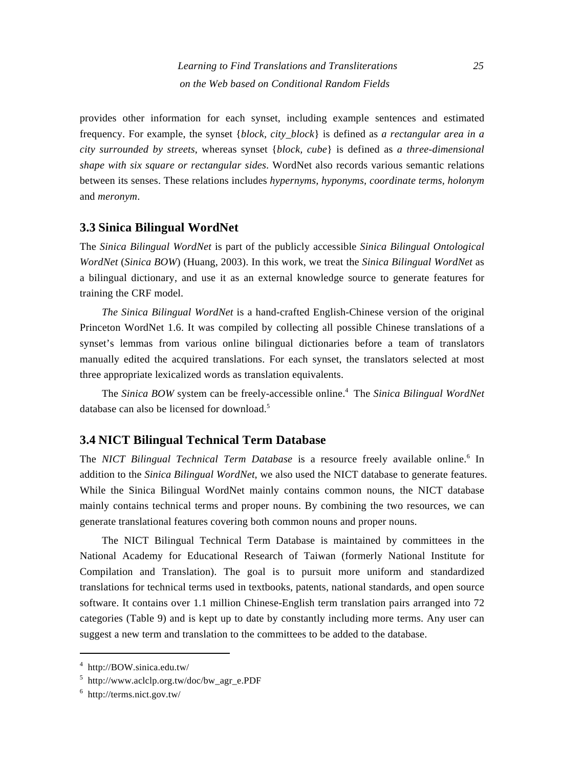provides other information for each synset, including example sentences and estimated frequency. For example, the synset {*block, city\_block*} is defined as *a rectangular area in a city surrounded by streets*, whereas synset {*block, cube*} is defined as *a three-dimensional shape with six square or rectangular sides*. WordNet also records various semantic relations between its senses. These relations includes *hypernyms, hyponyms, coordinate terms, holonym* and *meronym*.

#### **3.3 Sinica Bilingual WordNet**

The *Sinica Bilingual WordNet* is part of the publicly accessible *Sinica Bilingual Ontological WordNet* (*Sinica BOW*) (Huang, 2003). In this work, we treat the *Sinica Bilingual WordNet* as a bilingual dictionary, and use it as an external knowledge source to generate features for training the CRF model.

*The Sinica Bilingual WordNet* is a hand-crafted English-Chinese version of the original Princeton WordNet 1.6. It was compiled by collecting all possible Chinese translations of a synset's lemmas from various online bilingual dictionaries before a team of translators manually edited the acquired translations. For each synset, the translators selected at most three appropriate lexicalized words as translation equivalents.

The *Sinica BOW* system can be freely-accessible online.<sup>4</sup> The *Sinica Bilingual WordNet* database can also be licensed for download.<sup>5</sup>

# **3.4 NICT Bilingual Technical Term Database**

The *NICT Bilingual Technical Term Database* is a resource freely available online.<sup>6</sup> In addition to the *Sinica Bilingual WordNet*, we also used the NICT database to generate features. While the Sinica Bilingual WordNet mainly contains common nouns, the NICT database mainly contains technical terms and proper nouns. By combining the two resources, we can generate translational features covering both common nouns and proper nouns.

The NICT Bilingual Technical Term Database is maintained by committees in the National Academy for Educational Research of Taiwan (formerly National Institute for Compilation and Translation). The goal is to pursuit more uniform and standardized translations for technical terms used in textbooks, patents, national standards, and open source software. It contains over 1.1 million Chinese-English term translation pairs arranged into 72 categories (Table 9) and is kept up to date by constantly including more terms. Any user can suggest a new term and translation to the committees to be added to the database.

<sup>4</sup> http://BOW.sinica.edu.tw/

<sup>5</sup> http://www.aclclp.org.tw/doc/bw\_agr\_e.PDF

<sup>6</sup> http://terms.nict.gov.tw/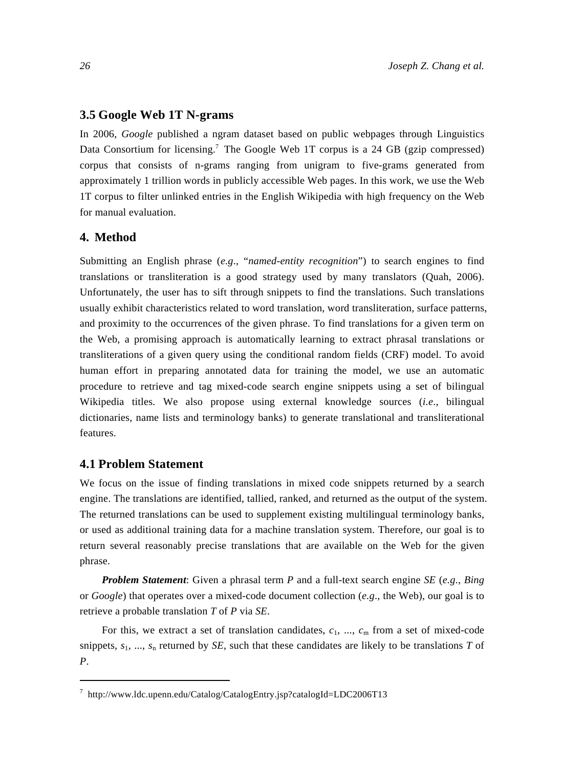#### **3.5 Google Web 1T N-grams**

In 2006, *Google* published a ngram dataset based on public webpages through Linguistics Data Consortium for licensing.<sup>7</sup> The Google Web 1T corpus is a 24 GB (gzip compressed) corpus that consists of n-grams ranging from unigram to five-grams generated from approximately 1 trillion words in publicly accessible Web pages. In this work, we use the Web 1T corpus to filter unlinked entries in the English Wikipedia with high frequency on the Web for manual evaluation.

#### **4. Method**

Submitting an English phrase (*e.g*., "*named-entity recognition*") to search engines to find translations or transliteration is a good strategy used by many translators (Quah, 2006). Unfortunately, the user has to sift through snippets to find the translations. Such translations usually exhibit characteristics related to word translation, word transliteration, surface patterns, and proximity to the occurrences of the given phrase. To find translations for a given term on the Web, a promising approach is automatically learning to extract phrasal translations or transliterations of a given query using the conditional random fields (CRF) model. To avoid human effort in preparing annotated data for training the model, we use an automatic procedure to retrieve and tag mixed-code search engine snippets using a set of bilingual Wikipedia titles. We also propose using external knowledge sources (*i.e*., bilingual dictionaries, name lists and terminology banks) to generate translational and transliterational features.

#### **4.1 Problem Statement**

We focus on the issue of finding translations in mixed code snippets returned by a search engine. The translations are identified, tallied, ranked, and returned as the output of the system. The returned translations can be used to supplement existing multilingual terminology banks, or used as additional training data for a machine translation system. Therefore, our goal is to return several reasonably precise translations that are available on the Web for the given phrase.

*Problem Statement*: Given a phrasal term *P* and a full-text search engine *SE* (*e.g*., *Bing* or *Google*) that operates over a mixed-code document collection (*e.g*., the Web), our goal is to retrieve a probable translation *T* of *P* via *SE*.

For this, we extract a set of translation candidates,  $c_1$ , ...,  $c_m$  from a set of mixed-code snippets, *s*1, ..., *s*n returned by *SE*, such that these candidates are likely to be translations *T* of *P*.

<sup>7</sup> http://www.ldc.upenn.edu/Catalog/CatalogEntry.jsp?catalogId=LDC2006T13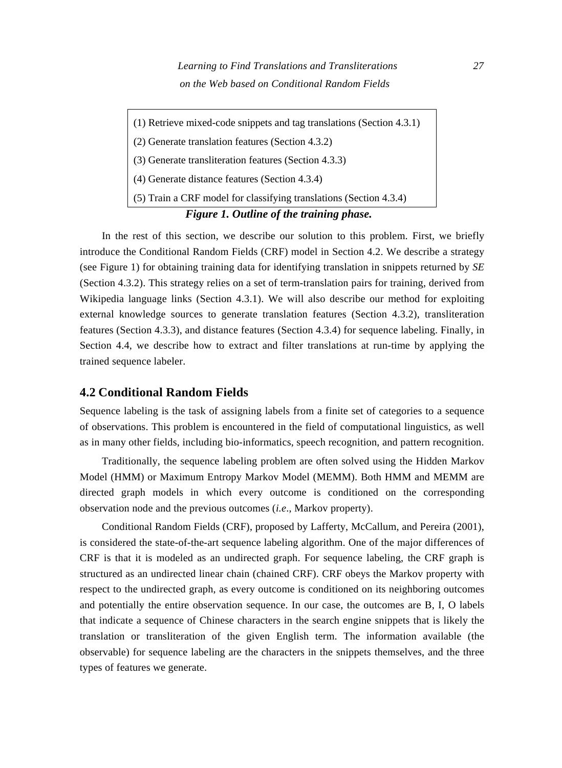(1) Retrieve mixed-code snippets and tag translations (Section 4.3.1) (2) Generate translation features (Section 4.3.2) (3) Generate transliteration features (Section 4.3.3) (4) Generate distance features (Section 4.3.4) (5) Train a CRF model for classifying translations (Section 4.3.4)  *Figure 1. Outline of the training phase.* 

In the rest of this section, we describe our solution to this problem. First, we briefly introduce the Conditional Random Fields (CRF) model in Section 4.2. We describe a strategy (see Figure 1) for obtaining training data for identifying translation in snippets returned by *SE* (Section 4.3.2). This strategy relies on a set of term-translation pairs for training, derived from Wikipedia language links (Section 4.3.1). We will also describe our method for exploiting external knowledge sources to generate translation features (Section 4.3.2), transliteration features (Section 4.3.3), and distance features (Section 4.3.4) for sequence labeling. Finally, in Section 4.4, we describe how to extract and filter translations at run-time by applying the trained sequence labeler.

#### **4.2 Conditional Random Fields**

Sequence labeling is the task of assigning labels from a finite set of categories to a sequence of observations. This problem is encountered in the field of computational linguistics, as well as in many other fields, including bio-informatics, speech recognition, and pattern recognition.

Traditionally, the sequence labeling problem are often solved using the Hidden Markov Model (HMM) or Maximum Entropy Markov Model (MEMM). Both HMM and MEMM are directed graph models in which every outcome is conditioned on the corresponding observation node and the previous outcomes (*i.e*., Markov property).

Conditional Random Fields (CRF), proposed by Lafferty, McCallum, and Pereira (2001), is considered the state-of-the-art sequence labeling algorithm. One of the major differences of CRF is that it is modeled as an undirected graph. For sequence labeling, the CRF graph is structured as an undirected linear chain (chained CRF). CRF obeys the Markov property with respect to the undirected graph, as every outcome is conditioned on its neighboring outcomes and potentially the entire observation sequence. In our case, the outcomes are B, I, O labels that indicate a sequence of Chinese characters in the search engine snippets that is likely the translation or transliteration of the given English term. The information available (the observable) for sequence labeling are the characters in the snippets themselves, and the three types of features we generate.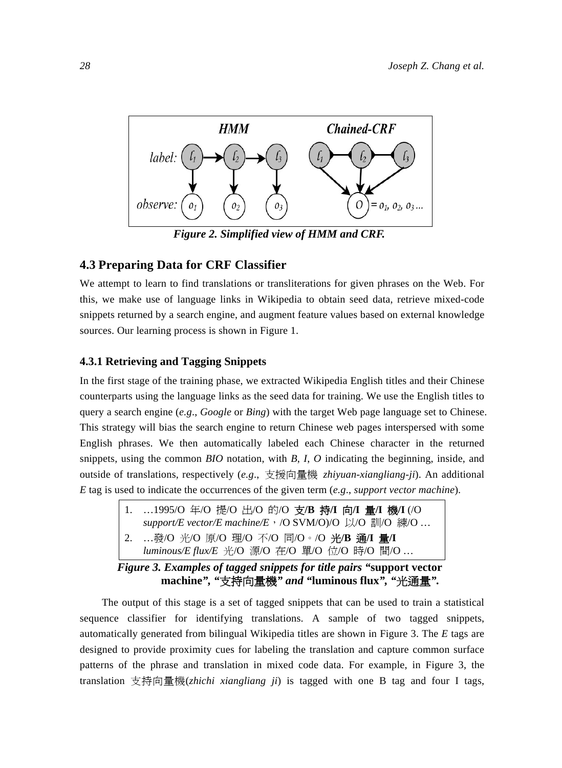

*Figure 2. Simplified view of HMM and CRF.* 

# **4.3 Preparing Data for CRF Classifier**

We attempt to learn to find translations or transliterations for given phrases on the Web. For this, we make use of language links in Wikipedia to obtain seed data, retrieve mixed-code snippets returned by a search engine, and augment feature values based on external knowledge sources. Our learning process is shown in Figure 1.

#### **4.3.1 Retrieving and Tagging Snippets**

In the first stage of the training phase, we extracted Wikipedia English titles and their Chinese counterparts using the language links as the seed data for training. We use the English titles to query a search engine (*e.g*., *Google* or *Bing*) with the target Web page language set to Chinese. This strategy will bias the search engine to return Chinese web pages interspersed with some English phrases. We then automatically labeled each Chinese character in the returned snippets, using the common *BIO* notation, with *B*, *I*, *O* indicating the beginning, inside, and outside of translations, respectively (*e.g*., 支援向量機 *zhiyuan-xiangliang-ji*). An additional *E* tag is used to indicate the occurrences of the given term (*e.g*., *support vector machine*).

1. …1995/O 年/O 提/O 出/O 的/O 支**/B** 持**/I** 向**/I** 量**/I** 機**/I** (/O *support/E vector/E machine/E*,/O SVM/O)/O 以/O 訓/O 練/O … 2. …發/O 光/O 原/O 理/O 不/O 同/O。/O 光**/B** 通**/I** 量**/I** *luminous/E flux/E* 光/O 源/O 在/O 單/O 位/O 時/O 間/O …

 *Figure 3. Examples of tagged snippets for title pairs "***support vector machine***", "*支持向量機*" and "***luminous flux***", "*光通量*".*

The output of this stage is a set of tagged snippets that can be used to train a statistical sequence classifier for identifying translations. A sample of two tagged snippets, automatically generated from bilingual Wikipedia titles are shown in Figure 3. The *E* tags are designed to provide proximity cues for labeling the translation and capture common surface patterns of the phrase and translation in mixed code data. For example, in Figure 3, the translation 支持向量機(*zhichi xiangliang ji*) is tagged with one B tag and four I tags,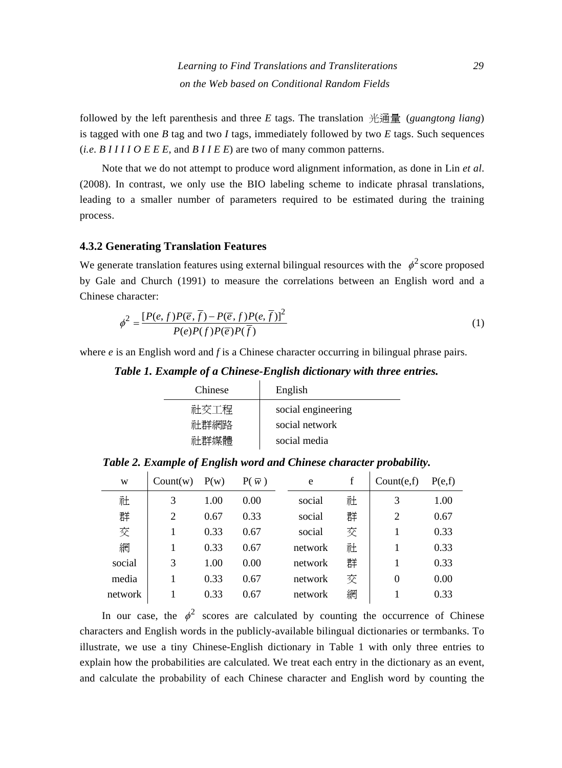followed by the left parenthesis and three *E* tags. The translation 光通量 (*guangtong liang*) is tagged with one  $B$  tag and two  $I$  tags, immediately followed by two  $E$  tags. Such sequences (*i.e*. *B I I I I O E E E*, and *B I I E E*) are two of many common patterns.

Note that we do not attempt to produce word alignment information, as done in Lin *et al*. (2008). In contrast, we only use the BIO labeling scheme to indicate phrasal translations, leading to a smaller number of parameters required to be estimated during the training process.

#### **4.3.2 Generating Translation Features**

We generate translation features using external bilingual resources with the  $\phi^2$  score proposed by Gale and Church (1991) to measure the correlations between an English word and a Chinese character:

$$
\phi^2 = \frac{[P(e,f)P(\overline{e},\overline{f}) - P(\overline{e},f)P(e,\overline{f})]^2}{P(e)P(f)P(\overline{e})P(\overline{f})}
$$
\n(1)

where *e* is an English word and *f* is a Chinese character occurring in bilingual phrase pairs.

*Table 1. Example of a Chinese-English dictionary with three entries.* 

| English            |
|--------------------|
| social engineering |
| social network     |
| social media       |
|                    |

*Table 2. Example of English word and Chinese character probability.* 

| W       | Count(w) | P(w) | $P(\bar{w})$ | e       | f | Count(e, f) | P(e,f) |
|---------|----------|------|--------------|---------|---|-------------|--------|
| 社       | 3        | 1.00 | 0.00         | social  | 社 | 3           | 1.00   |
| 群       | 2        | 0.67 | 0.33         | social  | 群 | 2           | 0.67   |
| 交       |          | 0.33 | 0.67         | social  | 交 |             | 0.33   |
| 網       | 1        | 0.33 | 0.67         | network | 社 |             | 0.33   |
| social  | 3        | 1.00 | 0.00         | network | 群 |             | 0.33   |
| media   |          | 0.33 | 0.67         | network | 交 | 0           | 0.00   |
| network |          | 0.33 | 0.67         | network | 網 |             | 0.33   |

In our case, the  $\phi^2$  scores are calculated by counting the occurrence of Chinese characters and English words in the publicly-available bilingual dictionaries or termbanks. To illustrate, we use a tiny Chinese-English dictionary in Table 1 with only three entries to explain how the probabilities are calculated. We treat each entry in the dictionary as an event, and calculate the probability of each Chinese character and English word by counting the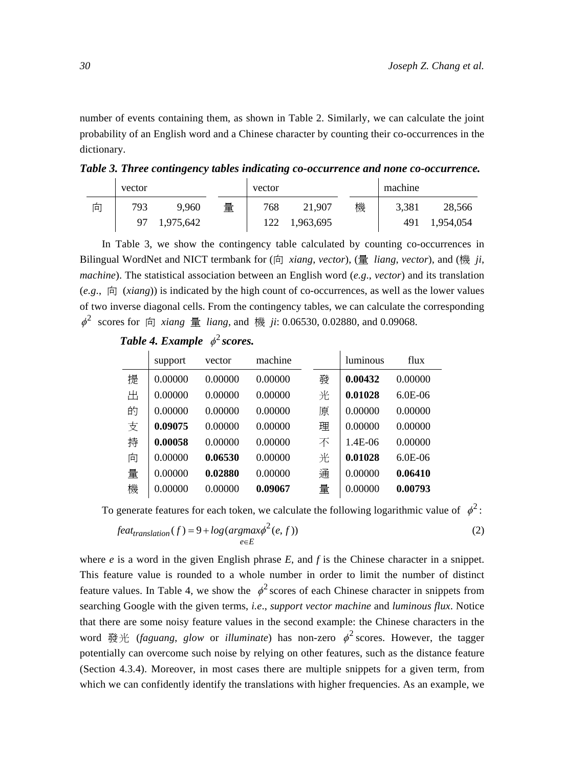number of events containing them, as shown in Table 2. Similarly, we can calculate the joint probability of an English word and a Chinese character by counting their co-occurrences in the dictionary.

*Table 3. Three contingency tables indicating co-occurrence and none co-occurrence.* 

|   | vector |           |   | vector |           |   | machine |           |
|---|--------|-----------|---|--------|-----------|---|---------|-----------|
| 向 | 793    | 9.960     | 量 | 768    | 21.907    | 機 | 3.381   | 28,566    |
|   | 97     | 1,975,642 |   | 122    | 1,963,695 |   | 491     | 1,954,054 |

In Table 3, we show the contingency table calculated by counting co-occurrences in Bilingual WordNet and NICT termbank for (向 *xiang*, *vector*), (量 *liang*, *vector*), and (機 *ji*, *machine*). The statistical association between an English word (*e.g*., *vector*) and its translation (*e.g*., 向 (*xiang*)) is indicated by the high count of co-occurrences, as well as the lower values of two inverse diagonal cells. From the contingency tables, we can calculate the corresponding  $\phi^2$  scores for  $\dot{p}$  *xiang*  $\frac{d}{dx}$  *liang*, and  $\frac{d\mathcal{R}}{dt}$  *ji*: 0.06530, 0.02880, and 0.09068.

*Table 4. Example*  $\phi^2$  *scores.* 

|   | support | vector  | machine |   | luminous | flux      |
|---|---------|---------|---------|---|----------|-----------|
| 提 | 0.00000 | 0.00000 | 0.00000 | 發 | 0.00432  | 0.00000   |
| 出 | 0.00000 | 0.00000 | 0.00000 | 光 | 0.01028  | $6.0E-06$ |
| 的 | 0.00000 | 0.00000 | 0.00000 | 原 | 0.00000  | 0.00000   |
| 支 | 0.09075 | 0.00000 | 0.00000 | 理 | 0.00000  | 0.00000   |
| 持 | 0.00058 | 0.00000 | 0.00000 | 不 | 1.4E-06  | 0.00000   |
| 向 | 0.00000 | 0.06530 | 0.00000 | 光 | 0.01028  | $6.0E-06$ |
| 量 | 0.00000 | 0.02880 | 0.00000 | 通 | 0.00000  | 0.06410   |
| 機 | 0.00000 | 0.00000 | 0.09067 | 量 | 0.00000  | 0.00793   |

To generate features for each token, we calculate the following logarithmic value of  $\phi^2$ :

$$
feattranslation(f) = 9 + log(argmax\phi2(e, f))
$$
\n
$$
e \in E
$$
\n(2)

where  $e$  is a word in the given English phrase  $E$ , and  $f$  is the Chinese character in a snippet. This feature value is rounded to a whole number in order to limit the number of distinct feature values. In Table 4, we show the  $\phi^2$  scores of each Chinese character in snippets from searching Google with the given terms, *i.e*., *support vector machine* and *luminous flux*. Notice that there are some noisy feature values in the second example: the Chinese characters in the word 發光 (*faguang*, *glow* or *illuminate*) has non-zero  $\phi^2$  scores. However, the tagger potentially can overcome such noise by relying on other features, such as the distance feature (Section 4.3.4). Moreover, in most cases there are multiple snippets for a given term, from which we can confidently identify the translations with higher frequencies. As an example, we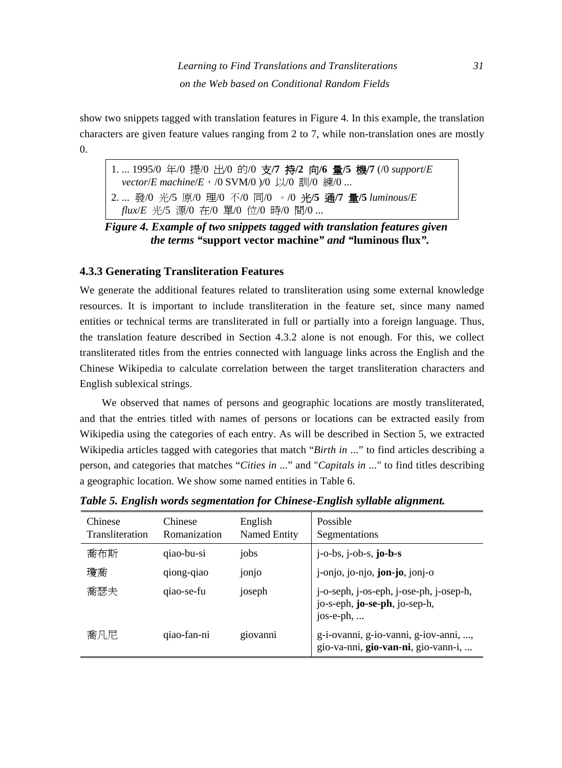show two snippets tagged with translation features in Figure 4. In this example, the translation characters are given feature values ranging from 2 to 7, while non-translation ones are mostly  $\overline{0}$ .

1. ... 1995/0 年/0 提/0 出/0 的/0 支**/7** 持**/2** 向**/6** 量**/5** 機**/7** (/0 *support*/*E vector*/*E machine*/*E*,/0 SVM/0 )/0 以/0 訓/0 練/0 ... 2. ... 發/0 光/5 原/0 理/0 不/0 同/0 。/0 光**/5** 通**/7** 量**/5** *luminous*/*E flux*/*E* 光/5 源/0 在/0 單/0 位/0 時/0 間/0 ...

*Figure 4. Example of two snippets tagged with translation features given the terms "***support vector machine***" and "***luminous flux***".* 

#### **4.3.3 Generating Transliteration Features**

We generate the additional features related to transliteration using some external knowledge resources. It is important to include transliteration in the feature set, since many named entities or technical terms are transliterated in full or partially into a foreign language. Thus, the translation feature described in Section 4.3.2 alone is not enough. For this, we collect transliterated titles from the entries connected with language links across the English and the Chinese Wikipedia to calculate correlation between the target transliteration characters and English sublexical strings.

We observed that names of persons and geographic locations are mostly transliterated, and that the entries titled with names of persons or locations can be extracted easily from Wikipedia using the categories of each entry. As will be described in Section 5, we extracted Wikipedia articles tagged with categories that match "*Birth in* ..." to find articles describing a person, and categories that matches "*Cities in* ..." and "*Capitals in* ..." to find titles describing a geographic location. We show some named entities in Table 6.

| Chinese<br>Transliteration | Chinese<br>Romanization | English<br>Named Entity | Possible<br>Segmentations                                                             |
|----------------------------|-------------------------|-------------------------|---------------------------------------------------------------------------------------|
| 喬布斯                        | qiao-bu-si              | jobs                    | $j$ -o-bs, $j$ -ob-s, $jo-b-s$                                                        |
| 瓊喬                         | qiong-qiao              | jonjo                   | j-onjo, jo-njo, jon-jo, jonj-o                                                        |
| 喬瑟夫                        | qiao-se-fu              | joseph                  | j-o-seph, j-os-eph, j-ose-ph, j-osep-h,<br>jo-s-eph, jo-se-ph, jo-sep-h,<br>jos-e-ph, |
| 喬凡尼                        | qiao-fan-ni             | giovanni                | g-i-ovanni, g-io-vanni, g-iov-anni, ,<br>gio-va-nni, gio-van-ni, gio-vann-i,          |

*Table 5. English words segmentation for Chinese-English syllable alignment.*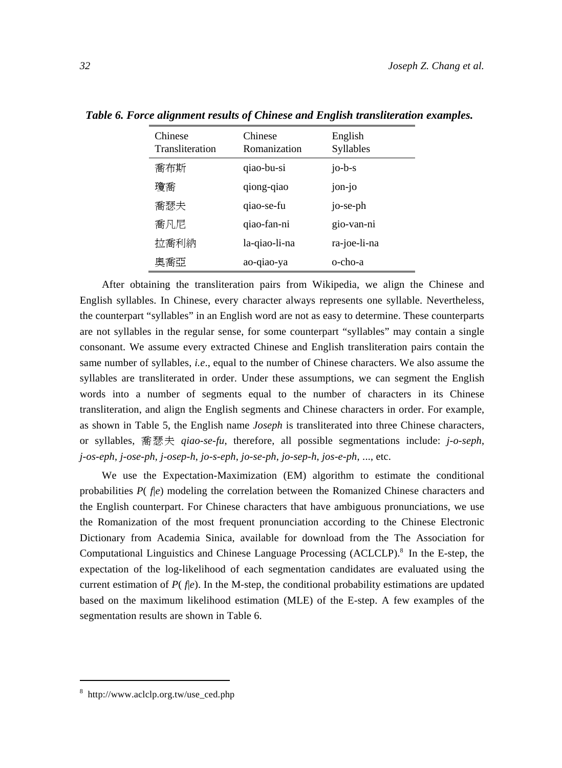| Chinese<br>Transliteration | Chinese<br>Romanization | English<br>Syllables |
|----------------------------|-------------------------|----------------------|
| 喬布斯                        | qiao-bu-si              | $j$ o-b-s            |
| 瓊喬                         | qiong-qiao              | jon-jo               |
| 喬瑟夫                        | qiao-se-fu              | jo-se-ph             |
| 喬凡尼                        | qiao-fan-ni             | gio-van-ni           |
| 拉喬利納                       | la-qiao-li-na           | ra-joe-li-na         |
| 奧喬亞                        | ao-qiao-ya              | o-cho-a              |

*Table 6. Force alignment results of Chinese and English transliteration examples.* 

After obtaining the transliteration pairs from Wikipedia, we align the Chinese and English syllables. In Chinese, every character always represents one syllable. Nevertheless, the counterpart "syllables" in an English word are not as easy to determine. These counterparts are not syllables in the regular sense, for some counterpart "syllables" may contain a single consonant. We assume every extracted Chinese and English transliteration pairs contain the same number of syllables, *i.e*., equal to the number of Chinese characters. We also assume the syllables are transliterated in order. Under these assumptions, we can segment the English words into a number of segments equal to the number of characters in its Chinese transliteration, and align the English segments and Chinese characters in order. For example, as shown in Table 5, the English name *Joseph* is transliterated into three Chinese characters, or syllables, 喬瑟夫 *qiao-se-fu*, therefore, all possible segmentations include: *j-o-seph*, *j-os-eph*, *j-ose-ph*, *j-osep-h*, *jo-s-eph*, *jo-se-ph*, *jo-sep-h*, *jos-e-ph*, ..., etc.

We use the Expectation-Maximization (EM) algorithm to estimate the conditional probabilities  $P(f|e)$  modeling the correlation between the Romanized Chinese characters and the English counterpart. For Chinese characters that have ambiguous pronunciations, we use the Romanization of the most frequent pronunciation according to the Chinese Electronic Dictionary from Academia Sinica, available for download from the The Association for Computational Linguistics and Chinese Language Processing (ACLCLP).<sup>8</sup> In the E-step, the expectation of the log-likelihood of each segmentation candidates are evaluated using the current estimation of  $P(f|e)$ . In the M-step, the conditional probability estimations are updated based on the maximum likelihood estimation (MLE) of the E-step. A few examples of the segmentation results are shown in Table 6.

 8 http://www.aclclp.org.tw/use\_ced.php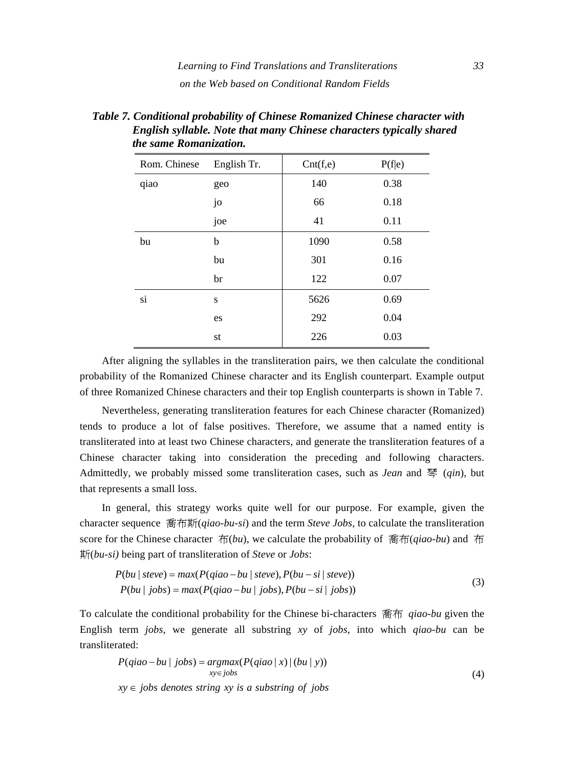| Rom. Chinese | English Tr. | Cnt(f,e) | P(f e) |
|--------------|-------------|----------|--------|
| qiao         | geo         | 140      | 0.38   |
|              | jo          | 66       | 0.18   |
|              | joe         | 41       | 0.11   |
| bu           | b           | 1090     | 0.58   |
|              | bu          | 301      | 0.16   |
|              | br          | 122      | 0.07   |
| si           | S           | 5626     | 0.69   |
|              | es          | 292      | 0.04   |
|              | st          | 226      | 0.03   |

*Table 7. Conditional probability of Chinese Romanized Chinese character with English syllable. Note that many Chinese characters typically shared the same Romanization.* 

After aligning the syllables in the transliteration pairs, we then calculate the conditional probability of the Romanized Chinese character and its English counterpart. Example output of three Romanized Chinese characters and their top English counterparts is shown in Table 7.

Nevertheless, generating transliteration features for each Chinese character (Romanized) tends to produce a lot of false positives. Therefore, we assume that a named entity is transliterated into at least two Chinese characters, and generate the transliteration features of a Chinese character taking into consideration the preceding and following characters. Admittedly, we probably missed some transliteration cases, such as *Jean* and 琴 (*qin*), but that represents a small loss.

In general, this strategy works quite well for our purpose. For example, given the character sequence 喬布斯(*qiao-bu-si*) and the term *Steve Jobs*, to calculate the transliteration score for the Chinese character 布(*bu*), we calculate the probability of 喬布(*qiao-bu*) and 布 斯(*bu-si)* being part of transliteration of *Steve* or *Jobs*:

$$
P(bu \mid Steve) = max(P(qiao - bu \mid Steve), P(bu - si \mid Steve))
$$
  
 
$$
P(bu \mid jobs) = max(P(qiao - bu \mid jobs), P(bu - si \mid jobs))
$$
 (3)

To calculate the conditional probability for the Chinese bi-characters 喬布 *qiao-bu* given the English term *jobs*, we generate all substring *xy* of *jobs*, into which *qiao-bu* can be transliterated:

$$
P(qiao - bu \mid jobs) = argmax(P(qiao \mid x) \mid (bu \mid y))
$$
  

$$
xy \in jobs
$$
  

$$
xy \in jobs
$$
 denotes string xy is a substring of jobs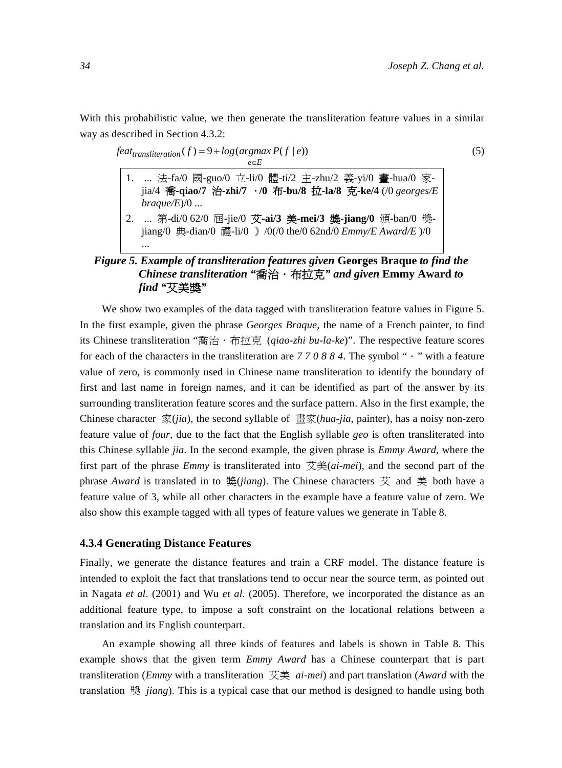With this probabilistic value, we then generate the transliteration feature values in a similar way as described in Section 4.3.2:

$$
feat_{translation}(f) = 9 + log(argmax P(f | e))
$$
\n
$$
e \in E
$$
\n(5)

- 1. ... 法-fa/0 國-guo/0 立-li/0 體-ti/2 主-zhu/2 義-yi/0 畫-hua/0 家jia/4 喬**-qiao/7** 治**-zhi/7** .**/0** 布**-bu/8** 拉**-la/8** 克**-ke/4** (/0 *georges/E braque/E*)/0 ...
- 2. ... 第-di/0 62/0 屆-jie/0 艾**-ai/3** 美**-mei/3** 獎**-jiang/0** 頒-ban/0 獎jiang/0 典-dian/0 禮-li/0 》/0(/0 the/0 62nd/0 *Emmy/E Award/E* )/0 ...

# *Figure 5. Example of transliteration features given* **Georges Braque** *to find the Chinese transliteration "*喬治.布拉克*" and given* **Emmy Award** *to find "*艾美獎*"*

We show two examples of the data tagged with transliteration feature values in Figure 5. In the first example, given the phrase *Georges Braque*, the name of a French painter, to find its Chinese transliteration "喬治.布拉克 (*qiao-zhi bu-la-ke*)". The respective feature scores for each of the characters in the transliteration are *7 7 0 8 8 4*. The symbol "." with a feature value of zero, is commonly used in Chinese name transliteration to identify the boundary of first and last name in foreign names, and it can be identified as part of the answer by its surrounding transliteration feature scores and the surface pattern. Also in the first example, the Chinese character 家(*jia*), the second syllable of 畫家(*hua-jia*, painter), has a noisy non-zero feature value of *four*, due to the fact that the English syllable *geo* is often transliterated into this Chinese syllable *jia*. In the second example, the given phrase is *Emmy Award*, where the first part of the phrase *Emmy* is transliterated into 艾美(*ai-mei*), and the second part of the phrase *Award* is translated in to 獎(*jiang*). The Chinese characters 艾 and 美 both have a feature value of 3, while all other characters in the example have a feature value of zero. We also show this example tagged with all types of feature values we generate in Table 8.

#### **4.3.4 Generating Distance Features**

Finally, we generate the distance features and train a CRF model. The distance feature is intended to exploit the fact that translations tend to occur near the source term, as pointed out in Nagata *et al*. (2001) and Wu *et al*. (2005). Therefore, we incorporated the distance as an additional feature type, to impose a soft constraint on the locational relations between a translation and its English counterpart.

An example showing all three kinds of features and labels is shown in Table 8. This example shows that the given term *Emmy Award* has a Chinese counterpart that is part transliteration (*Emmy* with a transliteration 艾美 *ai-mei*) and part translation (*Award* with the translation 獎 *jiang*). This is a typical case that our method is designed to handle using both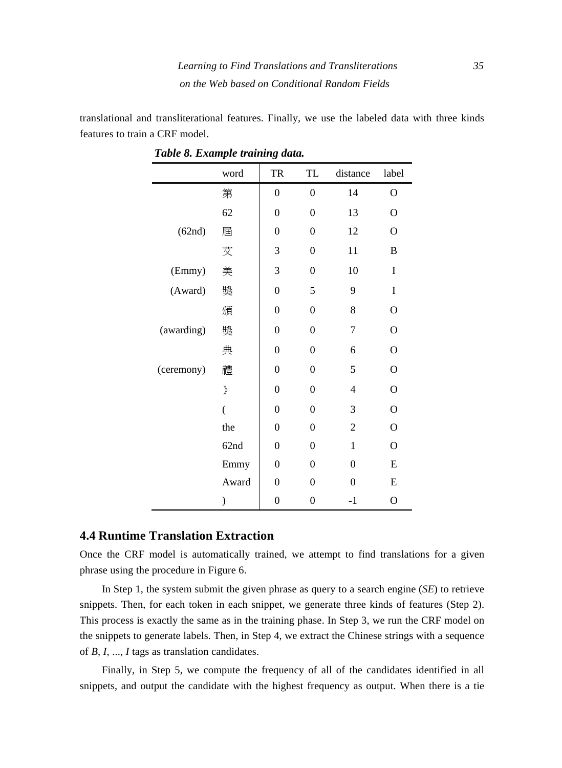translational and transliterational features. Finally, we use the labeled data with three kinds features to train a CRF model.

|            | word                         | TR               | TL               | distance       | label          |
|------------|------------------------------|------------------|------------------|----------------|----------------|
|            | 第                            | $\boldsymbol{0}$ | $\mathbf{0}$     | 14             | $\mathbf O$    |
|            | 62                           | $\overline{0}$   | $\overline{0}$   | 13             | $\mathcal{O}$  |
| (62nd)     | 屆                            | $\overline{0}$   | $\overline{0}$   | 12             | $\overline{O}$ |
|            | 艾                            | 3                | $\overline{0}$   | 11             | B              |
| (Emmy)     | 美                            | 3                | 0                | 10             | I              |
| (Award)    | 獎                            | $\mathbf{0}$     | 5                | 9              | I              |
|            | 頒                            | $\mathbf{0}$     | $\mathbf{0}$     | 8              | $\overline{O}$ |
| (awarding) | 獎                            | $\mathbf{0}$     | $\boldsymbol{0}$ | 7              | $\mathcal{O}$  |
|            | 典                            | $\overline{0}$   | $\overline{0}$   | 6              | O              |
| (ceremony) | 禮                            | $\overline{0}$   | 0                | 5              | $\mathcal{O}$  |
|            | $\left\langle \right\rangle$ | $\overline{0}$   | 0                | 4              | $\mathcal{O}$  |
|            | $\overline{(}$               | $\overline{0}$   | $\overline{0}$   | 3              | $\mathbf{O}$   |
|            | the                          | $\mathbf{0}$     | 0                | $\overline{2}$ | $\overline{O}$ |
|            | 62nd                         | $\overline{0}$   | 0                | $\mathbf{1}$   | $\overline{O}$ |
|            | Emmy                         | $\overline{0}$   | 0                | $\theta$       | E              |
|            | Award                        | $\overline{0}$   | $\overline{0}$   | $\overline{0}$ | E              |
|            | )                            | $\boldsymbol{0}$ | 0                | $-1$           | $\overline{O}$ |

*Table 8. Example training data.* 

#### **4.4 Runtime Translation Extraction**

Once the CRF model is automatically trained, we attempt to find translations for a given phrase using the procedure in Figure 6.

In Step 1, the system submit the given phrase as query to a search engine (*SE*) to retrieve snippets. Then, for each token in each snippet, we generate three kinds of features (Step 2). This process is exactly the same as in the training phase. In Step 3, we run the CRF model on the snippets to generate labels. Then, in Step 4, we extract the Chinese strings with a sequence of *B*, *I*, ..., *I* tags as translation candidates.

Finally, in Step 5, we compute the frequency of all of the candidates identified in all snippets, and output the candidate with the highest frequency as output. When there is a tie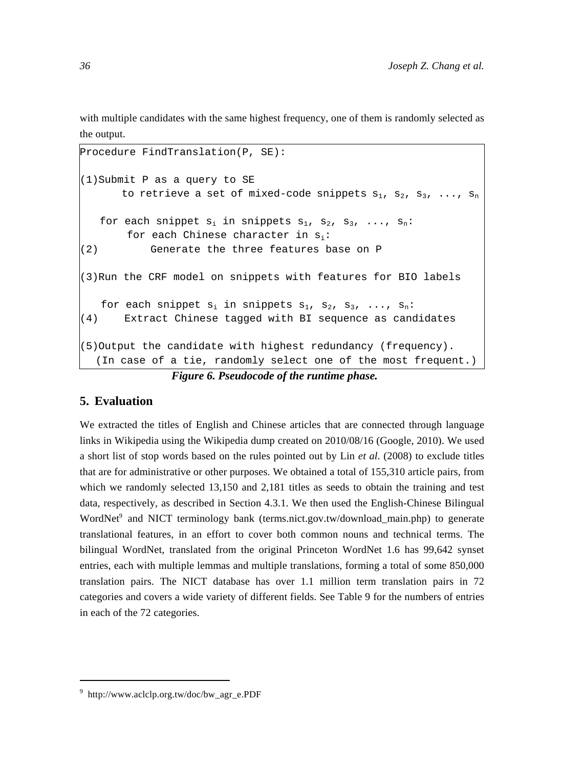with multiple candidates with the same highest frequency, one of them is randomly selected as the output.

```
Procedure FindTranslation(P, SE): 
(1)Submit P as a query to SE 
       to retrieve a set of mixed-code snippets s_1, s_2, s_3, ..., s_nfor each snippet s_i in snippets s_1, s_2, s_3, ..., s_n:
       for each Chinese character in s_i:
(2) Generate the three features base on P 
(3)Run the CRF model on snippets with features for BIO labels 
   for each snippet s_i in snippets s_1, s_2, s_3, ..., s_n:
(4) Extract Chinese tagged with BI sequence as candidates 
(5)Output the candidate with highest redundancy (frequency). 
  (In case of a tie, randomly select one of the most frequent.)
```
*Figure 6. Pseudocode of the runtime phase.* 

# **5. Evaluation**

We extracted the titles of English and Chinese articles that are connected through language links in Wikipedia using the Wikipedia dump created on 2010/08/16 (Google, 2010). We used a short list of stop words based on the rules pointed out by Lin *et al*. (2008) to exclude titles that are for administrative or other purposes. We obtained a total of 155,310 article pairs, from which we randomly selected 13,150 and 2,181 titles as seeds to obtain the training and test data, respectively, as described in Section 4.3.1. We then used the English-Chinese Bilingual WordNet<sup>9</sup> and NICT terminology bank (terms.nict.gov.tw/download\_main.php) to generate translational features, in an effort to cover both common nouns and technical terms. The bilingual WordNet, translated from the original Princeton WordNet 1.6 has 99,642 synset entries, each with multiple lemmas and multiple translations, forming a total of some 850,000 translation pairs. The NICT database has over 1.1 million term translation pairs in 72 categories and covers a wide variety of different fields. See Table 9 for the numbers of entries in each of the 72 categories.

<sup>9</sup> http://www.aclclp.org.tw/doc/bw\_agr\_e.PDF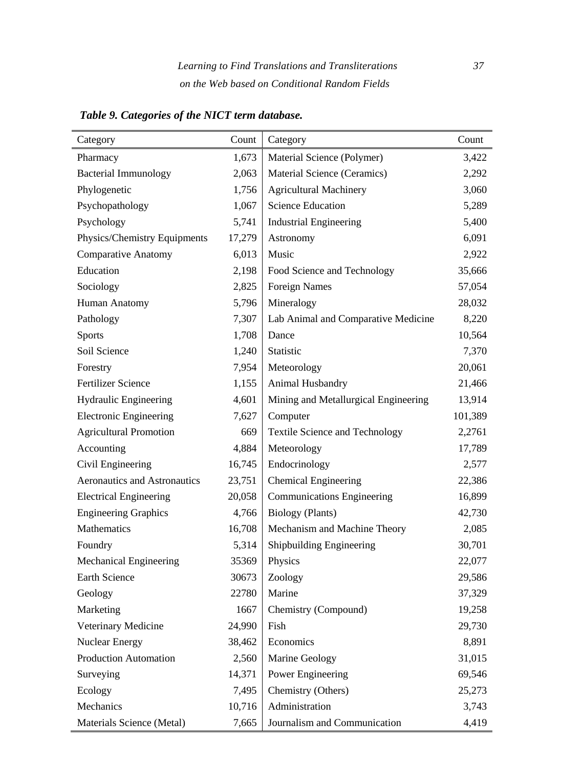| Category                            | Count  | Category                              | Count   |
|-------------------------------------|--------|---------------------------------------|---------|
| Pharmacy                            | 1,673  | Material Science (Polymer)            | 3,422   |
| <b>Bacterial Immunology</b>         | 2,063  | Material Science (Ceramics)           | 2,292   |
| Phylogenetic                        | 1,756  | <b>Agricultural Machinery</b>         | 3,060   |
| Psychopathology                     | 1,067  | <b>Science Education</b>              | 5,289   |
| Psychology                          | 5,741  | <b>Industrial Engineering</b>         | 5,400   |
| Physics/Chemistry Equipments        | 17,279 | Astronomy                             | 6,091   |
| <b>Comparative Anatomy</b>          | 6,013  | Music                                 | 2,922   |
| Education                           | 2,198  | Food Science and Technology           | 35,666  |
| Sociology                           | 2,825  | <b>Foreign Names</b>                  | 57,054  |
| Human Anatomy                       | 5,796  | Mineralogy                            | 28,032  |
| Pathology                           | 7,307  | Lab Animal and Comparative Medicine   | 8,220   |
| <b>Sports</b>                       | 1,708  | Dance                                 | 10,564  |
| Soil Science                        | 1,240  | Statistic                             | 7,370   |
| Forestry                            | 7,954  | Meteorology                           | 20,061  |
| <b>Fertilizer Science</b>           | 1,155  | Animal Husbandry                      | 21,466  |
| Hydraulic Engineering               | 4,601  | Mining and Metallurgical Engineering  | 13,914  |
| <b>Electronic Engineering</b>       | 7,627  | Computer                              | 101,389 |
| <b>Agricultural Promotion</b>       | 669    | <b>Textile Science and Technology</b> | 2,2761  |
| Accounting                          | 4,884  | Meteorology                           | 17,789  |
| Civil Engineering                   | 16,745 | Endocrinology                         | 2,577   |
| <b>Aeronautics and Astronautics</b> | 23,751 | <b>Chemical Engineering</b>           | 22,386  |
| <b>Electrical Engineering</b>       | 20,058 | <b>Communications Engineering</b>     | 16,899  |
| <b>Engineering Graphics</b>         | 4,766  | Biology (Plants)                      | 42,730  |
| Mathematics                         | 16,708 | Mechanism and Machine Theory          | 2,085   |
| Foundry                             | 5,314  | Shipbuilding Engineering              | 30,701  |
| Mechanical Engineering              | 35369  | Physics                               | 22,077  |
| <b>Earth Science</b>                | 30673  | Zoology                               | 29,586  |
| Geology                             | 22780  | Marine                                | 37,329  |
| Marketing                           | 1667   | Chemistry (Compound)                  | 19,258  |
| Veterinary Medicine                 | 24,990 | Fish                                  | 29,730  |
| <b>Nuclear Energy</b>               | 38,462 | Economics                             | 8,891   |
| <b>Production Automation</b>        | 2,560  | Marine Geology                        | 31,015  |
| Surveying                           | 14,371 | Power Engineering                     | 69,546  |
| Ecology                             | 7,495  | Chemistry (Others)                    | 25,273  |
| Mechanics                           | 10,716 | Administration                        | 3,743   |
| Materials Science (Metal)           | 7,665  | Journalism and Communication          | 4,419   |

*Table 9. Categories of the NICT term database.*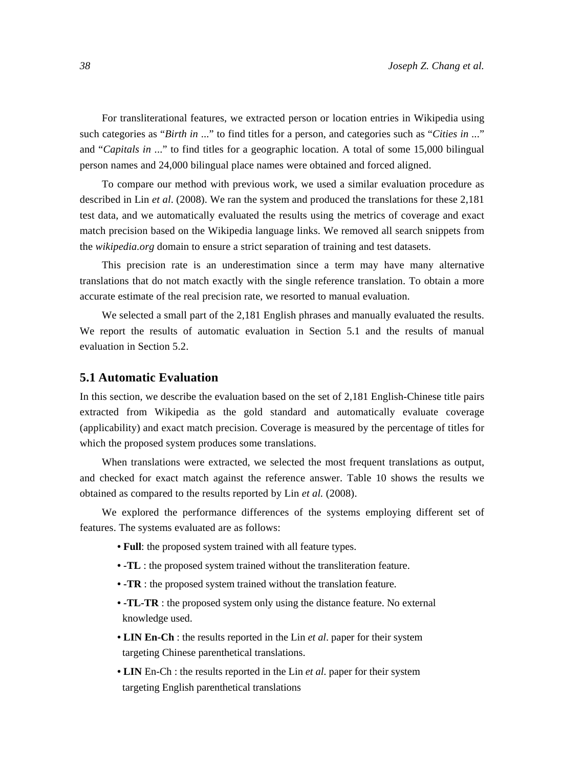For transliterational features, we extracted person or location entries in Wikipedia using such categories as "*Birth in* ..." to find titles for a person, and categories such as "*Cities in* ..." and "*Capitals in* ..." to find titles for a geographic location. A total of some 15,000 bilingual person names and 24,000 bilingual place names were obtained and forced aligned.

To compare our method with previous work, we used a similar evaluation procedure as described in Lin *et al*. (2008). We ran the system and produced the translations for these 2,181 test data, and we automatically evaluated the results using the metrics of coverage and exact match precision based on the Wikipedia language links. We removed all search snippets from the *wikipedia.org* domain to ensure a strict separation of training and test datasets.

This precision rate is an underestimation since a term may have many alternative translations that do not match exactly with the single reference translation. To obtain a more accurate estimate of the real precision rate, we resorted to manual evaluation.

We selected a small part of the 2,181 English phrases and manually evaluated the results. We report the results of automatic evaluation in Section 5.1 and the results of manual evaluation in Section 5.2.

#### **5.1 Automatic Evaluation**

In this section, we describe the evaluation based on the set of 2,181 English-Chinese title pairs extracted from Wikipedia as the gold standard and automatically evaluate coverage (applicability) and exact match precision. Coverage is measured by the percentage of titles for which the proposed system produces some translations.

When translations were extracted, we selected the most frequent translations as output, and checked for exact match against the reference answer. Table 10 shows the results we obtained as compared to the results reported by Lin *et al.* (2008).

We explored the performance differences of the systems employing different set of features. The systems evaluated are as follows:

- **Full**: the proposed system trained with all feature types.
- **-TL** : the proposed system trained without the transliteration feature.
- **-TR** : the proposed system trained without the translation feature.
- **-TL-TR** : the proposed system only using the distance feature. No external knowledge used.
- **LIN En-Ch** : the results reported in the Lin *et al*. paper for their system targeting Chinese parenthetical translations.
- **LIN** En-Ch : the results reported in the Lin *et al*. paper for their system targeting English parenthetical translations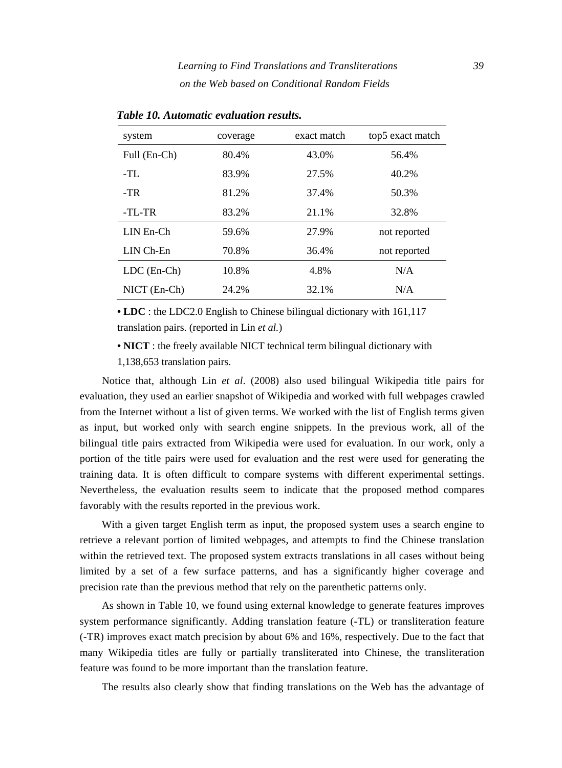| system            | coverage | exact match | top5 exact match |
|-------------------|----------|-------------|------------------|
| Full (En-Ch)      | 80.4%    | 43.0%       | 56.4%            |
| -TL               | 83.9%    | 27.5%       | 40.2%            |
| $-TR$             | 81.2%    | 37.4%       | 50.3%            |
| $-TL-TR$          | 83.2%    | 21.1%       | 32.8%            |
| $LIN$ En-Ch       | 59.6%    | 27.9%       | not reported     |
| $LIN$ $Ch$ - $En$ | 70.8%    | 36.4%       | not reported     |
| $LDC$ (En-Ch)     | 10.8%    | 4.8%        | N/A              |
| $NICT$ (En-Ch)    | 24.2%    | 32.1%       | N/A              |

*Table 10. Automatic evaluation results.* 

**• LDC** : the LDC2.0 English to Chinese bilingual dictionary with 161,117 translation pairs. (reported in Lin *et al.*)

• **NICT** : the freely available NICT technical term bilingual dictionary with

1,138,653 translation pairs.

Notice that, although Lin *et al*. (2008) also used bilingual Wikipedia title pairs for evaluation, they used an earlier snapshot of Wikipedia and worked with full webpages crawled from the Internet without a list of given terms. We worked with the list of English terms given as input, but worked only with search engine snippets. In the previous work, all of the bilingual title pairs extracted from Wikipedia were used for evaluation. In our work, only a portion of the title pairs were used for evaluation and the rest were used for generating the training data. It is often difficult to compare systems with different experimental settings. Nevertheless, the evaluation results seem to indicate that the proposed method compares favorably with the results reported in the previous work.

With a given target English term as input, the proposed system uses a search engine to retrieve a relevant portion of limited webpages, and attempts to find the Chinese translation within the retrieved text. The proposed system extracts translations in all cases without being limited by a set of a few surface patterns, and has a significantly higher coverage and precision rate than the previous method that rely on the parenthetic patterns only.

As shown in Table 10, we found using external knowledge to generate features improves system performance significantly. Adding translation feature (-TL) or transliteration feature (-TR) improves exact match precision by about 6% and 16%, respectively. Due to the fact that many Wikipedia titles are fully or partially transliterated into Chinese, the transliteration feature was found to be more important than the translation feature.

The results also clearly show that finding translations on the Web has the advantage of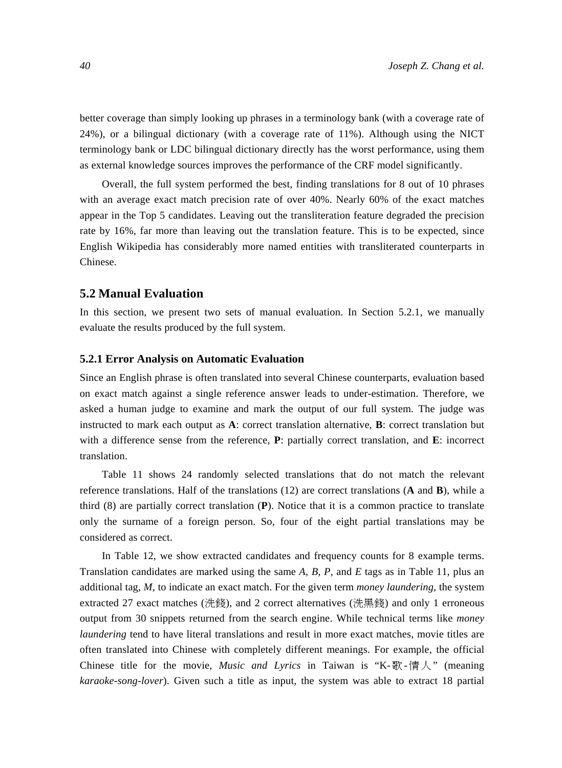better coverage than simply looking up phrases in a terminology bank (with a coverage rate of 24%), or a bilingual dictionary (with a coverage rate of 11%). Although using the NICT terminology bank or LDC bilingual dictionary directly has the worst performance, using them as external knowledge sources improves the performance of the CRF model significantly.

Overall, the full system performed the best, finding translations for 8 out of 10 phrases with an average exact match precision rate of over 40%. Nearly 60% of the exact matches appear in the Top 5 candidates. Leaving out the transliteration feature degraded the precision rate by 16%, far more than leaving out the translation feature. This is to be expected, since English Wikipedia has considerably more named entities with transliterated counterparts in Chinese.

#### **5.2 Manual Evaluation**

In this section, we present two sets of manual evaluation. In Section 5.2.1, we manually evaluate the results produced by the full system.

#### **5.2.1 Error Analysis on Automatic Evaluation**

Since an English phrase is often translated into several Chinese counterparts, evaluation based on exact match against a single reference answer leads to under-estimation. Therefore, we asked a human judge to examine and mark the output of our full system. The judge was instructed to mark each output as **A**: correct translation alternative, **B**: correct translation but with a difference sense from the reference, **P**: partially correct translation, and **E**: incorrect translation.

Table 11 shows 24 randomly selected translations that do not match the relevant reference translations. Half of the translations (12) are correct translations (**A** and **B**), while a third (8) are partially correct translation (**P**). Notice that it is a common practice to translate only the surname of a foreign person. So, four of the eight partial translations may be considered as correct.

In Table 12, we show extracted candidates and frequency counts for 8 example terms. Translation candidates are marked using the same *A*, *B*, *P*, and *E* tags as in Table 11, plus an additional tag, *M*, to indicate an exact match. For the given term *money laundering*, the system extracted 27 exact matches (洗錢), and 2 correct alternatives (洗黑錢) and only 1 erroneous output from 30 snippets returned from the search engine. While technical terms like *money laundering* tend to have literal translations and result in more exact matches, movie titles are often translated into Chinese with completely different meanings. For example, the official Chinese title for the movie, *Music and Lyrics* in Taiwan is "K-歌-情 人" (meaning *karaoke-song-lover*). Given such a title as input, the system was able to extract 18 partial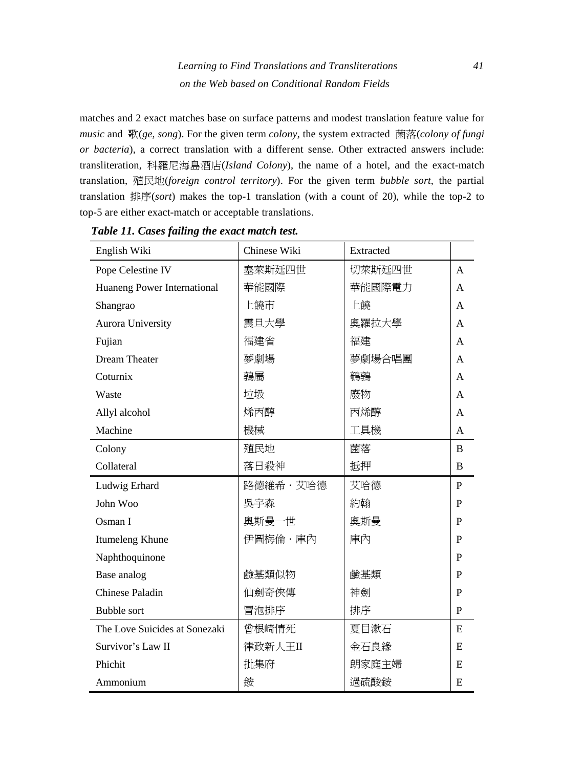matches and 2 exact matches base on surface patterns and modest translation feature value for *music* and 歌(*ge*, *song*). For the given term *colony*, the system extracted 菌落(*colony of fungi or bacteria*), a correct translation with a different sense. Other extracted answers include: transliteration, 科羅尼海島酒店(*Island Colony*), the name of a hotel, and the exact-match translation, 殖民地(*foreign control territory*). For the given term *bubble sort*, the partial translation 排序(*sort*) makes the top-1 translation (with a count of 20), while the top-2 to top-5 are either exact-match or acceptable translations.

| English Wiki                  | Chinese Wiki | Extracted |              |
|-------------------------------|--------------|-----------|--------------|
| Pope Celestine IV             | 塞萊斯廷四世       | 切萊斯廷四世    | A            |
| Huaneng Power International   | 華能國際         | 華能國際電力    | A            |
| Shangrao                      | 上饒市          | 上饒        | A            |
| <b>Aurora University</b>      | 震旦大學         | 奧羅拉大學     | A            |
| Fujian                        | 福建省          | 福建        | A            |
| Dream Theater                 | 夢劇場          | 夢劇場合唱團    | A            |
| Coturnix                      | 鶉屬           | 鶴鶉        | A            |
| Waste                         | 垃圾           | 廢物        | A            |
| Allyl alcohol                 | 烯丙醇          | 丙烯醇       | A            |
| Machine                       | 機械           | 工具機       | A            |
| Colony                        | 殖民地          | 菌落        | B            |
| Collateral                    | 落日殺神         | 抵押        | B            |
| Ludwig Erhard                 | 路德維希・艾哈德     | 艾哈德       | $\mathbf{P}$ |
| John Woo                      | 吳宇森          | 約翰        | P            |
| Osman I                       | 奧斯曼一世        | 奧斯曼       | P            |
| Itumeleng Khune               | 伊圖梅倫・庫內      | 庫內        | $\mathbf{P}$ |
| Naphthoquinone                |              |           | P            |
| Base analog                   | 鹼基類似物        | 鹼基類       | P            |
| <b>Chinese Paladin</b>        | 仙劍奇俠傳        | 神劍        | P            |
| <b>Bubble sort</b>            | 冒泡排序         | 排序        | P            |
| The Love Suicides at Sonezaki | 曾根崎情死        | 夏目漱石      | E            |
| Survivor's Law II             | 律政新人王II      | 金石良緣      | E            |
| Phichit                       | 批集府          | 朗家庭主婦     | E            |
| Ammonium                      | 銨            | 過硫酸銨      | E            |

*Table 11. Cases failing the exact match test.*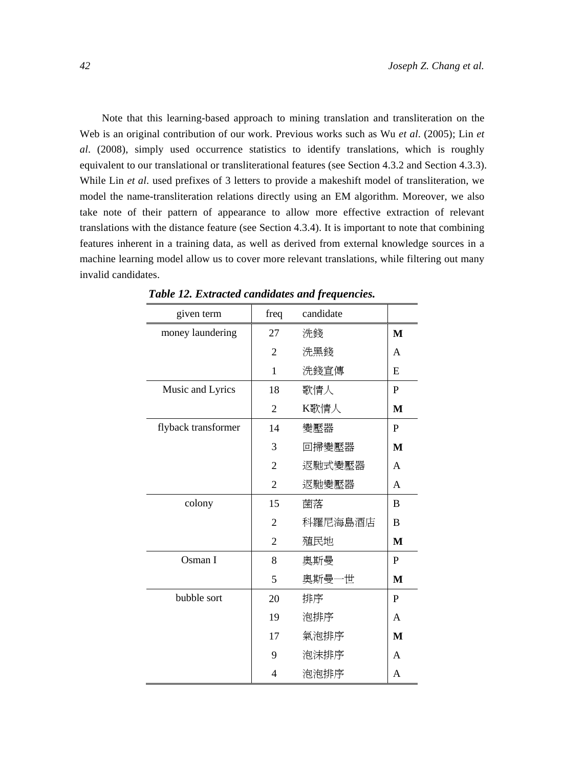Note that this learning-based approach to mining translation and transliteration on the Web is an original contribution of our work. Previous works such as Wu *et al*. (2005); Lin *et al*. (2008), simply used occurrence statistics to identify translations, which is roughly equivalent to our translational or transliterational features (see Section 4.3.2 and Section 4.3.3). While Lin *et al*. used prefixes of 3 letters to provide a makeshift model of transliteration, we model the name-transliteration relations directly using an EM algorithm. Moreover, we also take note of their pattern of appearance to allow more effective extraction of relevant translations with the distance feature (see Section 4.3.4). It is important to note that combining features inherent in a training data, as well as derived from external knowledge sources in a machine learning model allow us to cover more relevant translations, while filtering out many invalid candidates.

| given term          | freq           | candidate |   |
|---------------------|----------------|-----------|---|
| money laundering    | 27             | 洗錢        | M |
|                     | $\overline{2}$ | 洗黑錢       | A |
|                     | 1              | 洗錢宣傳      | E |
| Music and Lyrics    | 18             | 歌情人       | P |
|                     | 2              | K歌情人      | M |
| flyback transformer | 14             | 變壓器       | P |
|                     | 3              | 回掃變壓器     | M |
|                     | $\overline{2}$ | 返馳式變壓器    | A |
|                     | $\overline{2}$ | 返馳變壓器     | A |
| colony              | 15             | 菌落        | B |
|                     | $\overline{2}$ | 科羅尼海島酒店   | B |
|                     | $\overline{2}$ | 殖民地       | M |
| Osman I             | 8              | 奧斯曼       | P |
|                     | 5              | 奧斯曼一世     | M |
| bubble sort         | 20             | 排序        | P |
|                     | 19             | 泡排序       | A |
|                     | 17             | 氣泡排序      | M |
|                     | 9              | 泡沫排序      | A |
|                     | 4              | 泡泡排序      | A |

*Table 12. Extracted candidates and frequencies.*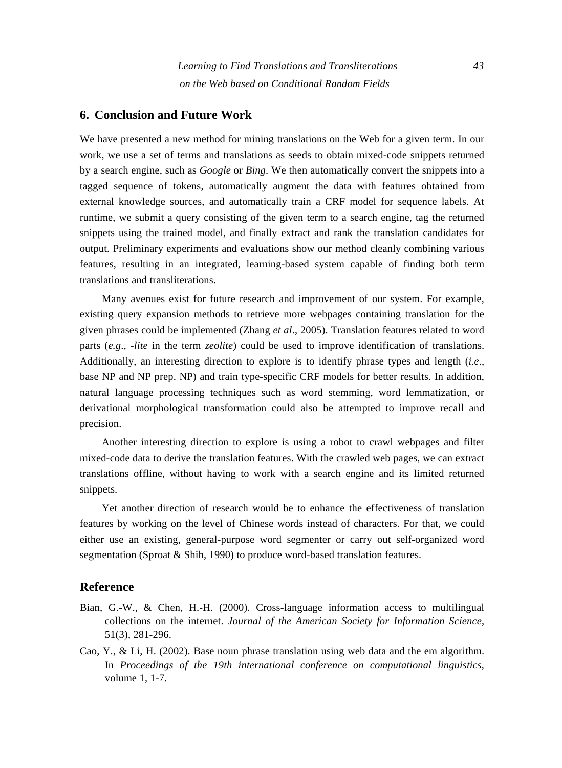#### **6. Conclusion and Future Work**

We have presented a new method for mining translations on the Web for a given term. In our work, we use a set of terms and translations as seeds to obtain mixed-code snippets returned by a search engine, such as *Google* or *Bing*. We then automatically convert the snippets into a tagged sequence of tokens, automatically augment the data with features obtained from external knowledge sources, and automatically train a CRF model for sequence labels. At runtime, we submit a query consisting of the given term to a search engine, tag the returned snippets using the trained model, and finally extract and rank the translation candidates for output. Preliminary experiments and evaluations show our method cleanly combining various features, resulting in an integrated, learning-based system capable of finding both term translations and transliterations.

Many avenues exist for future research and improvement of our system. For example, existing query expansion methods to retrieve more webpages containing translation for the given phrases could be implemented (Zhang *et al*., 2005). Translation features related to word parts (*e.g*., *-lite* in the term *zeolite*) could be used to improve identification of translations. Additionally, an interesting direction to explore is to identify phrase types and length (*i.e*., base NP and NP prep. NP) and train type-specific CRF models for better results. In addition, natural language processing techniques such as word stemming, word lemmatization, or derivational morphological transformation could also be attempted to improve recall and precision.

Another interesting direction to explore is using a robot to crawl webpages and filter mixed-code data to derive the translation features. With the crawled web pages, we can extract translations offline, without having to work with a search engine and its limited returned snippets.

Yet another direction of research would be to enhance the effectiveness of translation features by working on the level of Chinese words instead of characters. For that, we could either use an existing, general-purpose word segmenter or carry out self-organized word segmentation (Sproat & Shih, 1990) to produce word-based translation features.

#### **Reference**

- Bian, G.-W., & Chen, H.-H. (2000). Cross-language information access to multilingual collections on the internet. *Journal of the American Society for Information Science*, 51(3), 281-296.
- Cao, Y., & Li, H. (2002). Base noun phrase translation using web data and the em algorithm. In *Proceedings of the 19th international conference on computational linguistics*, volume 1, 1-7.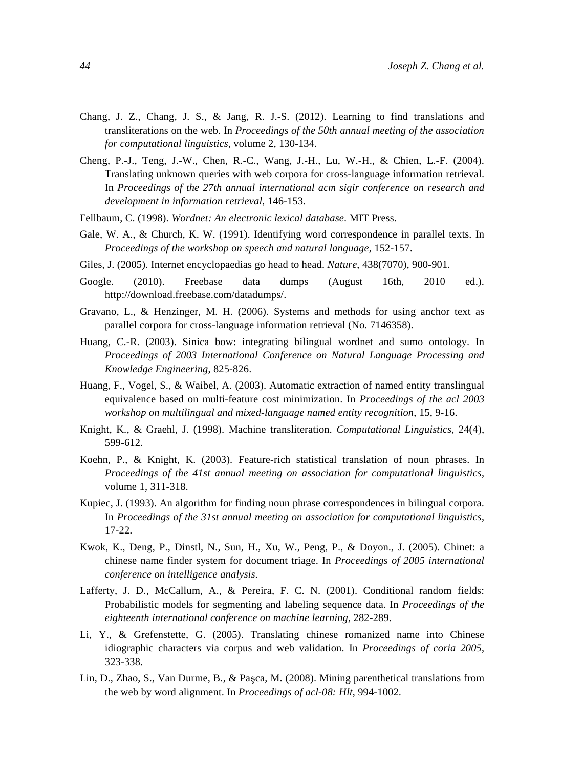- Chang, J. Z., Chang, J. S., & Jang, R. J.-S. (2012). Learning to find translations and transliterations on the web. In *Proceedings of the 50th annual meeting of the association for computational linguistics*, volume 2, 130-134.
- Cheng, P.-J., Teng, J.-W., Chen, R.-C., Wang, J.-H., Lu, W.-H., & Chien, L.-F. (2004). Translating unknown queries with web corpora for cross-language information retrieval. In *Proceedings of the 27th annual international acm sigir conference on research and development in information retrieval*, 146-153.
- Fellbaum, C. (1998). *Wordnet: An electronic lexical database*. MIT Press.
- Gale, W. A., & Church, K. W. (1991). Identifying word correspondence in parallel texts. In *Proceedings of the workshop on speech and natural language*, 152-157.
- Giles, J. (2005). Internet encyclopaedias go head to head. *Nature*, 438(7070), 900-901.
- Google. (2010). Freebase data dumps (August 16th, 2010 ed.). http://download.freebase.com/datadumps/.
- Gravano, L., & Henzinger, M. H. (2006). Systems and methods for using anchor text as parallel corpora for cross-language information retrieval (No. 7146358).
- Huang, C.-R. (2003). Sinica bow: integrating bilingual wordnet and sumo ontology. In *Proceedings of 2003 International Conference on Natural Language Processing and Knowledge Engineering*, 825-826.
- Huang, F., Vogel, S., & Waibel, A. (2003). Automatic extraction of named entity translingual equivalence based on multi-feature cost minimization. In *Proceedings of the acl 2003 workshop on multilingual and mixed-language named entity recognition*, 15, 9-16.
- Knight, K., & Graehl, J. (1998). Machine transliteration. *Computational Linguistics*, 24(4), 599-612.
- Koehn, P., & Knight, K. (2003). Feature-rich statistical translation of noun phrases. In *Proceedings of the 41st annual meeting on association for computational linguistics*, volume 1, 311-318.
- Kupiec, J. (1993). An algorithm for finding noun phrase correspondences in bilingual corpora. In *Proceedings of the 31st annual meeting on association for computational linguistics*, 17-22.
- Kwok, K., Deng, P., Dinstl, N., Sun, H., Xu, W., Peng, P., & Doyon., J. (2005). Chinet: a chinese name finder system for document triage. In *Proceedings of 2005 international conference on intelligence analysis*.
- Lafferty, J. D., McCallum, A., & Pereira, F. C. N. (2001). Conditional random fields: Probabilistic models for segmenting and labeling sequence data. In *Proceedings of the eighteenth international conference on machine learning*, 282-289.
- Li, Y., & Grefenstette, G. (2005). Translating chinese romanized name into Chinese idiographic characters via corpus and web validation. In *Proceedings of coria 2005*, 323-338.
- Lin, D., Zhao, S., Van Durme, B., & Paşca, M. (2008). Mining parenthetical translations from the web by word alignment. In *Proceedings of acl-08: Hlt*, 994-1002.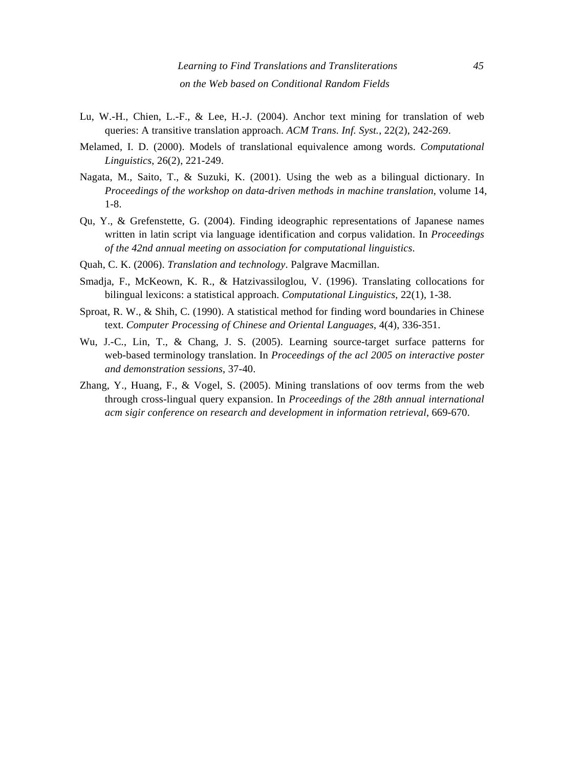- Lu, W.-H., Chien, L.-F., & Lee, H.-J. (2004). Anchor text mining for translation of web queries: A transitive translation approach. *ACM Trans. Inf. Syst.*, 22(2), 242-269.
- Melamed, I. D. (2000). Models of translational equivalence among words. *Computational Linguistics*, 26(2), 221-249.
- Nagata, M., Saito, T., & Suzuki, K. (2001). Using the web as a bilingual dictionary. In *Proceedings of the workshop on data-driven methods in machine translation*, volume 14, 1-8.
- Qu, Y., & Grefenstette, G. (2004). Finding ideographic representations of Japanese names written in latin script via language identification and corpus validation. In *Proceedings of the 42nd annual meeting on association for computational linguistics*.
- Quah, C. K. (2006). *Translation and technology*. Palgrave Macmillan.
- Smadja, F., McKeown, K. R., & Hatzivassiloglou, V. (1996). Translating collocations for bilingual lexicons: a statistical approach. *Computational Linguistics*, 22(1), 1-38.
- Sproat, R. W., & Shih, C. (1990). A statistical method for finding word boundaries in Chinese text. *Computer Processing of Chinese and Oriental Languages*, 4(4), 336-351.
- Wu, J.-C., Lin, T., & Chang, J. S. (2005). Learning source-target surface patterns for web-based terminology translation. In *Proceedings of the acl 2005 on interactive poster and demonstration sessions*, 37-40.
- Zhang, Y., Huang, F., & Vogel, S. (2005). Mining translations of oov terms from the web through cross-lingual query expansion. In *Proceedings of the 28th annual international acm sigir conference on research and development in information retrieval*, 669-670.